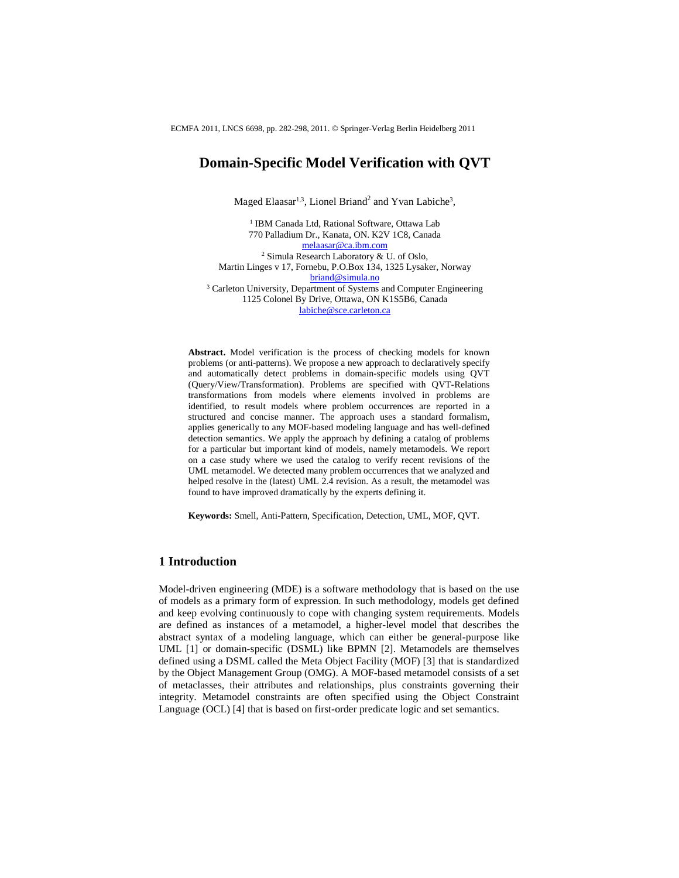ECMFA 2011, LNCS 6698, pp. 282-298, 2011. © Springer-Verlag Berlin Heidelberg 2011

# **Domain-Specific Model Verification with QVT**

Maged Elaasar<sup>1,3</sup>, Lionel Briand<sup>2</sup> and Yvan Labiche<sup>3</sup>,

<sup>1</sup> IBM Canada Ltd, Rational Software, Ottawa Lab 770 Palladium Dr., Kanata, ON. K2V 1C8, Canada melaasar@ca.ibm.com 2 Simula Research Laboratory & U. of Oslo, Martin Linges v 17, Fornebu, P.O.Box 134, 1325 Lysaker, Norway briand@simula.no <sup>3</sup> Carleton University, Department of Systems and Computer Engineering 1125 Colonel By Drive, Ottawa, ON K1S5B6, Canada labiche@sce.carleton.ca

**Abstract.** Model verification is the process of checking models for known problems (or anti-patterns). We propose a new approach to declaratively specify and automatically detect problems in domain-specific models using QVT (Query/View/Transformation). Problems are specified with QVT-Relations transformations from models where elements involved in problems are identified, to result models where problem occurrences are reported in a structured and concise manner. The approach uses a standard formalism, applies generically to any MOF-based modeling language and has well-defined detection semantics. We apply the approach by defining a catalog of problems for a particular but important kind of models, namely metamodels. We report on a case study where we used the catalog to verify recent revisions of the UML metamodel. We detected many problem occurrences that we analyzed and helped resolve in the (latest) UML 2.4 revision. As a result, the metamodel was found to have improved dramatically by the experts defining it.

**Keywords:** Smell, Anti-Pattern, Specification, Detection, UML, MOF, QVT.

# **1 Introduction**

Model-driven engineering (MDE) is a software methodology that is based on the use of models as a primary form of expression. In such methodology, models get defined and keep evolving continuously to cope with changing system requirements. Models are defined as instances of a metamodel, a higher-level model that describes the abstract syntax of a modeling language, which can either be general-purpose like UML [1] or domain-specific (DSML) like BPMN [2]. Metamodels are themselves defined using a DSML called the Meta Object Facility (MOF) [ 3] that is standardized by the Object Management Group (OMG). A MOF-based metamodel consists of a set of metaclasses, their attributes and relationships, plus constraints governing their integrity. Metamodel constraints are often specified using the Object Constraint Language (OCL) [4] that is based on first-order predicate logic and set semantics.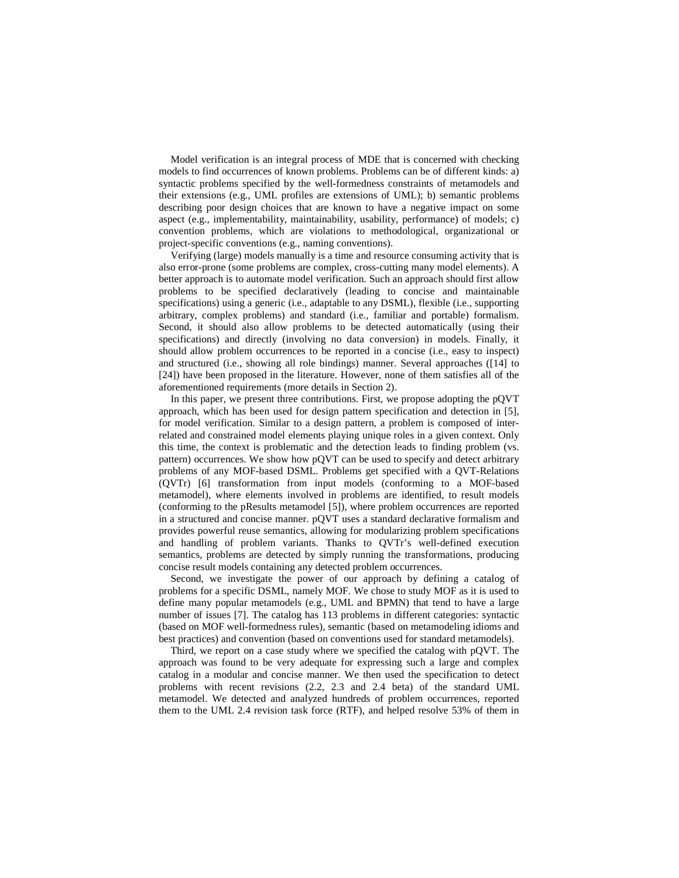Model verification is an integral process of MDE that is concerned with checking models to find occurrences of known problems. Problems can be of different kinds: a) syntactic problems specified by the well-formedness constraints of metamodels and their extensions (e.g., UML profiles are extensions of UML); b) semantic problems describing poor design choices that are known to have a negative impact on some aspect (e.g., implementability, maintainability, usability, performance) of models; c) convention problems, which are violations to methodological, organizational or project-specific conventions (e.g., naming conventions).

Verifying (large) models manually is a time and resource consuming activity that is also error-prone (some problems are complex, cross-cutting many model elements). A better approach is to automate model verification. Such an approach should first allow problems to be specified declaratively (leading to concise and maintainable specifications) using a generic (i.e., adaptable to any DSML), flexible (i.e., supporting arbitrary, complex problems) and standard (i.e., familiar and portable) formalism. Second, it should also allow problems to be detected automatically (using their specifications) and directly (involving no data conversion) in models. Finally, it should allow problem occurrences to be reported in a concise (i.e., easy to inspect) and structured (i.e., showing all role bindings) manner. Several approaches ([ 14] to [ 24]) have been proposed in the literature. However, none of them satisfies all of the aforementioned requirements (more details in Section 2).

In this paper, we present three contributions. First, we propose adopting the pQVT approach, which has been used for design pattern specification and detection in [5], for model verification. Similar to a design pattern, a problem is composed of interrelated and constrained model elements playing unique roles in a given context. Only this time, the context is problematic and the detection leads to finding problem (vs. pattern) occurrences. We show how pQVT can be used to specify and detect arbitrary problems of any MOF-based DSML. Problems get specified with a QVT-Relations (QVTr) [ 6] transformation from input models (conforming to a MOF-based metamodel), where elements involved in problems are identified, to result models (conforming to the pResults metamodel [ 5]), where problem occurrences are reported in a structured and concise manner. pQVT uses a standard declarative formalism and provides powerful reuse semantics, allowing for modularizing problem specifications and handling of problem variants. Thanks to QVTr's well-defined execution semantics, problems are detected by simply running the transformations, producing concise result models containing any detected problem occurrences.

Second, we investigate the power of our approach by defining a catalog of problems for a specific DSML, namely MOF. We chose to study MOF as it is used to define many popular metamodels (e.g., UML and BPMN) that tend to have a large number of issues [7]. The catalog has 113 problems in different categories: syntactic (based on MOF well-formedness rules), semantic (based on metamodeling idioms and best practices) and convention (based on conventions used for standard metamodels).

Third, we report on a case study where we specified the catalog with pQVT. The approach was found to be very adequate for expressing such a large and complex catalog in a modular and concise manner. We then used the specification to detect problems with recent revisions (2.2, 2.3 and 2.4 beta) of the standard UML metamodel. We detected and analyzed hundreds of problem occurrences, reported them to the UML 2.4 revision task force (RTF), and helped resolve 53% of them in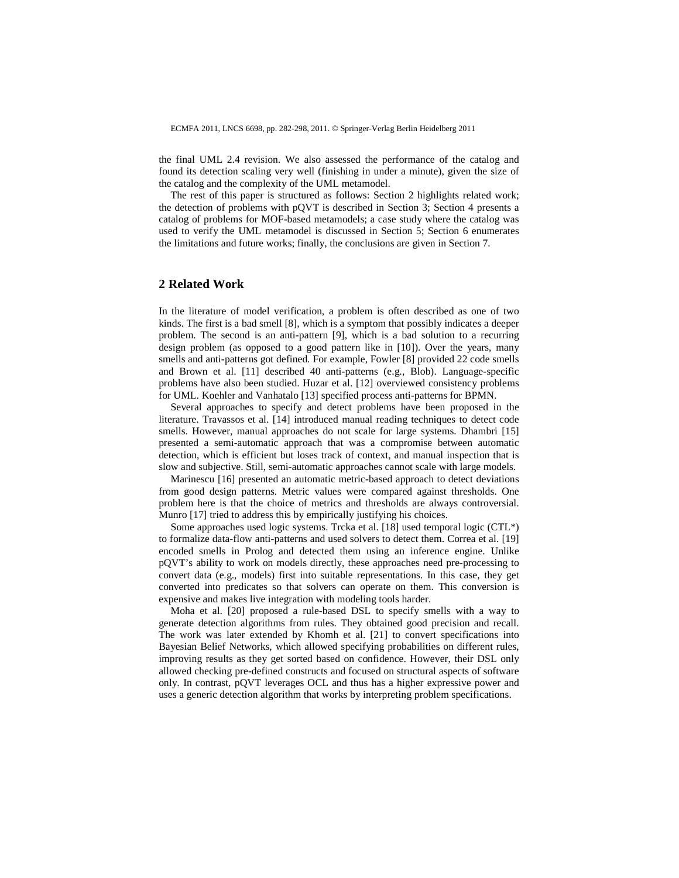the final UML 2.4 revision. We also assessed the performance of the catalog and found its detection scaling very well (finishing in under a minute), given the size of the catalog and the complexity of the UML metamodel.

The rest of this paper is structured as follows: Section 2 highlights related work; the detection of problems with pQVT is described in Section 3; Section 4 presents a catalog of problems for MOF-based metamodels; a case study where the catalog was used to verify the UML metamodel is discussed in Section 5; Section 6 enumerates the limitations and future works; finally, the conclusions are given in Section 7.

## **2 Related Work**

In the literature of model verification, a problem is often described as one of two kinds. The first is a bad smell [ 8], which is a symptom that possibly indicates a deeper problem. The second is an anti-pattern [ 9], which is a bad solution to a recurring design problem (as opposed to a good pattern like in [ 10]). Over the years, many smells and anti-patterns got defined. For example, Fowler [8] provided 22 code smells and Brown et al. [ 11] described 40 anti-patterns (e.g., Blob). Language-specific problems have also been studied. Huzar et al. [ 12] overviewed consistency problems for UML. Koehler and Vanhatalo [ 13] specified process anti-patterns for BPMN.

Several approaches to specify and detect problems have been proposed in the literature. Travassos et al. [ 14] introduced manual reading techniques to detect code smells. However, manual approaches do not scale for large systems. Dhambri [ 15] presented a semi-automatic approach that was a compromise between automatic detection, which is efficient but loses track of context, and manual inspection that is slow and subjective. Still, semi-automatic approaches cannot scale with large models.

Marinescu [ 16] presented an automatic metric-based approach to detect deviations from good design patterns. Metric values were compared against thresholds. One problem here is that the choice of metrics and thresholds are always controversial. Munro [17] tried to address this by empirically justifying his choices.

Some approaches used logic systems. Trcka et al. [ 18] used temporal logic (CTL\*) to formalize data-flow anti-patterns and used solvers to detect them. Correa et al. [ 19] encoded smells in Prolog and detected them using an inference engine. Unlike pQVT's ability to work on models directly, these approaches need pre-processing to convert data (e.g., models) first into suitable representations. In this case, they get converted into predicates so that solvers can operate on them. This conversion is expensive and makes live integration with modeling tools harder.

Moha et al. [20] proposed a rule-based DSL to specify smells with a way to generate detection algorithms from rules. They obtained good precision and recall. The work was later extended by Khomh et al. [ 21] to convert specifications into Bayesian Belief Networks, which allowed specifying probabilities on different rules, improving results as they get sorted based on confidence. However, their DSL only allowed checking pre-defined constructs and focused on structural aspects of software only. In contrast, pQVT leverages OCL and thus has a higher expressive power and uses a generic detection algorithm that works by interpreting problem specifications.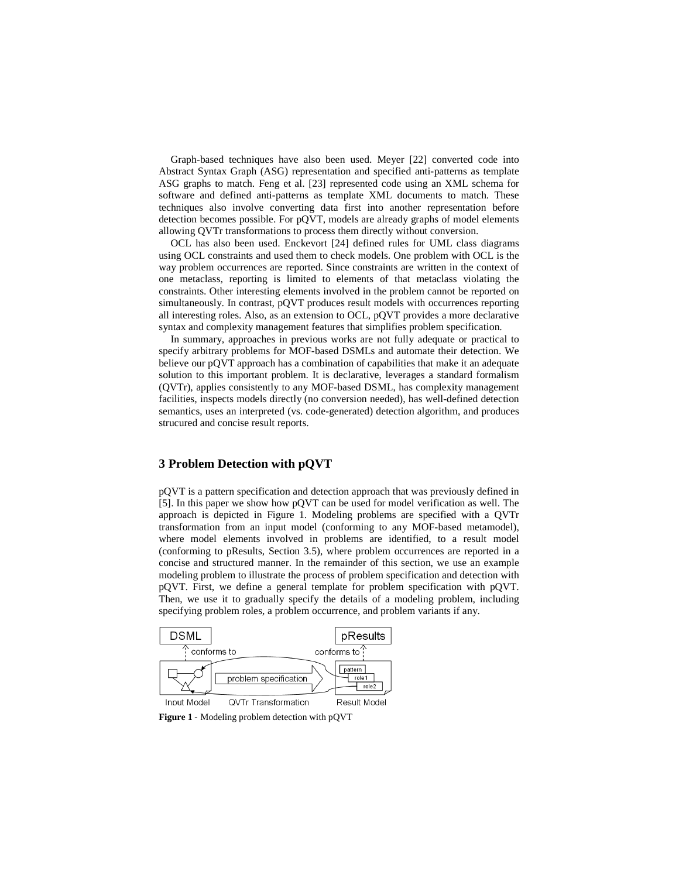Graph-based techniques have also been used. Meyer [22] converted code into Abstract Syntax Graph (ASG) representation and specified anti-patterns as template ASG graphs to match. Feng et al. [ 23] represented code using an XML schema for software and defined anti-patterns as template XML documents to match. These techniques also involve converting data first into another representation before detection becomes possible. For pQVT, models are already graphs of model elements allowing QVTr transformations to process them directly without conversion.

OCL has also been used. Enckevort [ 24] defined rules for UML class diagrams using OCL constraints and used them to check models. One problem with OCL is the way problem occurrences are reported. Since constraints are written in the context of one metaclass, reporting is limited to elements of that metaclass violating the constraints. Other interesting elements involved in the problem cannot be reported on simultaneously. In contrast, pQVT produces result models with occurrences reporting all interesting roles. Also, as an extension to OCL, pQVT provides a more declarative syntax and complexity management features that simplifies problem specification.

In summary, approaches in previous works are not fully adequate or practical to specify arbitrary problems for MOF-based DSMLs and automate their detection. We believe our pQVT approach has a combination of capabilities that make it an adequate solution to this important problem. It is declarative, leverages a standard formalism (QVTr), applies consistently to any MOF-based DSML, has complexity management facilities, inspects models directly (no conversion needed), has well-defined detection semantics, uses an interpreted (vs. code-generated) detection algorithm, and produces strucured and concise result reports.

# **3 Problem Detection with pQVT**

pQVT is a pattern specification and detection approach that was previously defined in [ 5]. In this paper we show how pQVT can be used for model verification as well. The approach is depicted in Figure 1. Modeling problems are specified with a QVTr transformation from an input model (conforming to any MOF-based metamodel), where model elements involved in problems are identified, to a result model (conforming to pResults, Section 3.5), where problem occurrences are reported in a concise and structured manner. In the remainder of this section, we use an example modeling problem to illustrate the process of problem specification and detection with pQVT. First, we define a general template for problem specification with pQVT. Then, we use it to gradually specify the details of a modeling problem, including specifying problem roles, a problem occurrence, and problem variants if any.



**Figure 1** - Modeling problem detection with pQVT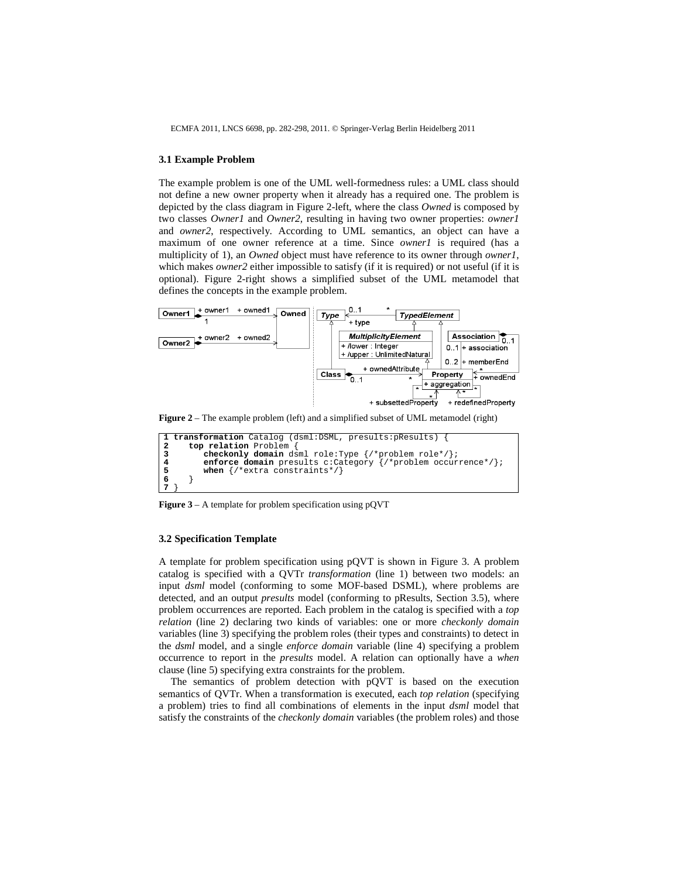ECMFA 2011, LNCS 6698, pp. 282-298, 2011. © Springer-Verlag Berlin Heidelberg 2011

#### **3.1 Example Problem**

The example problem is one of the UML well-formedness rules: a UML class should not define a new owner property when it already has a required one. The problem is depicted by the class diagram in Figure 2-left, where the class *Owned* is composed by two classes *Owner1* and *Owner2*, resulting in having two owner properties: *owner1* and *owner2*, respectively. According to UML semantics, an object can have a maximum of one owner reference at a time. Since *owner1* is required (has a multiplicity of 1), an *Owned* object must have reference to its owner through *owner1*, which makes *owner2* either impossible to satisfy (if it is required) or not useful (if it is optional). Figure 2-right shows a simplified subset of the UML metamodel that defines the concepts in the example problem.



**Figure 2** – The example problem (left) and a simplified subset of UML metamodel (right)

|     | 1 transformation Catalog (dsml:DSML, presults: pResults) {                               |
|-----|------------------------------------------------------------------------------------------|
| -2  | top relation Problem                                                                     |
| 3   | checkonly domain dsml role: Type $\frac{\sqrt{2}}{2}$ roblem role*/ $\frac{1}{\sqrt{2}}$ |
| -4  | <b>enforce domain</b> presults c:Category $\frac{1}{2}$ /*problem occurrence*/};         |
| . 5 | when $\{$ /*extra constraints*/}                                                         |
| - 6 |                                                                                          |
|     |                                                                                          |

**Figure 3** – A template for problem specification using pQVT

#### **3.2 Specification Template**

A template for problem specification using pQVT is shown in Figure 3. A problem catalog is specified with a QVTr *transformation* (line 1) between two models: an input *dsml* model (conforming to some MOF-based DSML), where problems are detected, and an output *presults* model (conforming to pResults, Section 3.5), where problem occurrences are reported. Each problem in the catalog is specified with a *top relation* (line 2) declaring two kinds of variables: one or more *checkonly domain* variables (line 3) specifying the problem roles (their types and constraints) to detect in the *dsml* model, and a single *enforce domain* variable (line 4) specifying a problem occurrence to report in the *presults* model. A relation can optionally have a *when* clause (line 5) specifying extra constraints for the problem.

The semantics of problem detection with pQVT is based on the execution semantics of QVTr. When a transformation is executed, each *top relation* (specifying a problem) tries to find all combinations of elements in the input *dsml* model that satisfy the constraints of the *checkonly domain* variables (the problem roles) and those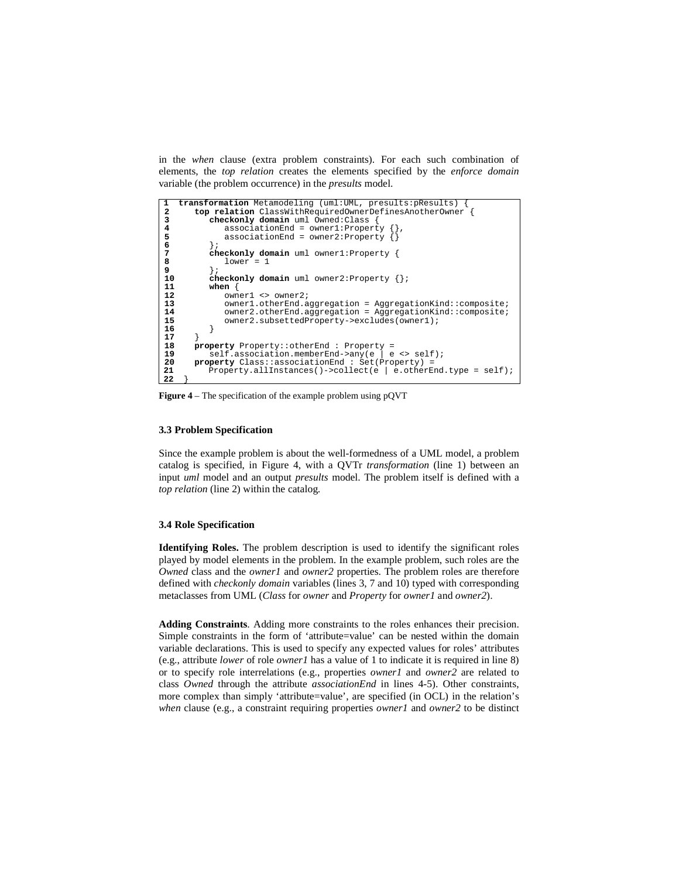in the *when* clause (extra problem constraints). For each such combination of elements, the *top relation* creates the elements specified by the *enforce domain* variable (the problem occurrence) in the *presults* model.

```
1 transformation Metamodeling (uml:UML, presults:pResults) {<br>2 top relation ClassWithRequiredOwnerDefinesAnotherOwner<br>checkonly domain uml Owned:Class {<br>4 associationEnd = ownerl:Property {},
          2 top relation ClassWithRequiredOwnerDefinesAnotherOwner { 
              3 checkonly domain uml Owned:Class { 
4 associationEnd = owner1:Property<br>5 associationEnd = owner2:Property
                   5 associationEnd = owner2:Property {} 
6 }; 
              7 checkonly domain uml owner1:Property { 
              \frac{1}{3} lower = 1
9 }; 
10 checkonly domain uml owner2:Property {};<br>11 when {
11 when { 
12 owner1 <> owner2;<br>13 owner1.otherEnd.a
13 owner1.otherEnd.aggregation = AggregationKind::composite;<br>14 owner2.otherEnd.aggregation = AggregationKind::composite;
14 owner2.otherEnd.aggregation = AggregationKind::composite;<br>15 owner2.subsettedProperty->excludes(owner1);
              owner2.subsettedProperty->excludes(owner1);<br>}
16 } 
17 } 
18 property Property::otherEnd : Property = self.association.memberEnd->any(e | e
19 self.association.memberEnd->any(e | e <> self);<br>20 property Class:associationEnd : Set(Property) =
20 property Class::associationEnd : Set(Property) =<br>21 Property.allInstances()->collect(e | e.otherE
              21 Property.allInstances()->collect(e | e.otherEnd.type = self); 
22 }
```
**Figure 4** – The specification of the example problem using pQVT

## **3.3 Problem Specification**

Since the example problem is about the well-formedness of a UML model, a problem catalog is specified, in Figure 4, with a QVTr *transformation* (line 1) between an input *uml* model and an output *presults* model. The problem itself is defined with a *top relation* (line 2) within the catalog.

#### **3.4 Role Specification**

**Identifying Roles.** The problem description is used to identify the significant roles played by model elements in the problem. In the example problem, such roles are the *Owned* class and the *owner1* and *owner2* properties. The problem roles are therefore defined with *checkonly domain* variables (lines 3, 7 and 10) typed with corresponding metaclasses from UML (*Class* for *owner* and *Property* for *owner1* and *owner2*).

**Adding Constraints**. Adding more constraints to the roles enhances their precision. Simple constraints in the form of 'attribute=value' can be nested within the domain variable declarations. This is used to specify any expected values for roles' attributes (e.g., attribute *lower* of role *owner1* has a value of 1 to indicate it is required in line 8) or to specify role interrelations (e.g., properties *owner1* and *owner2* are related to class *Owned* through the attribute *associationEnd* in lines 4-5). Other constraints, more complex than simply 'attribute=value', are specified (in OCL) in the relation's *when* clause (e.g., a constraint requiring properties *owner1* and *owner2* to be distinct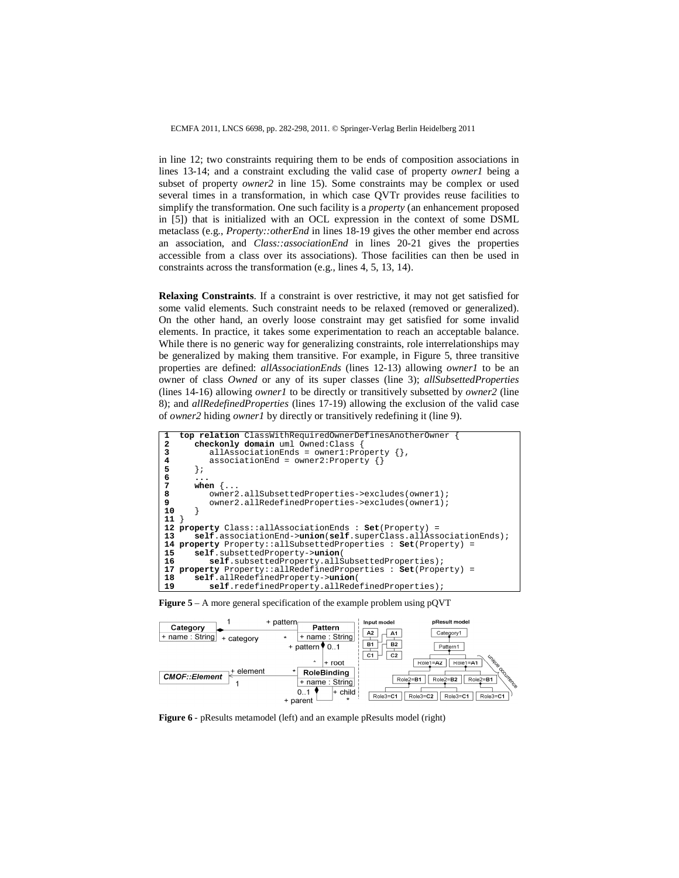ECMFA 2011, LNCS 6698, pp. 282-298, 2011. © Springer-Verlag Berlin Heidelberg 2011

in line 12; two constraints requiring them to be ends of composition associations in lines 13-14; and a constraint excluding the valid case of property *owner1* being a subset of property *owner2* in line 15). Some constraints may be complex or used several times in a transformation, in which case QVTr provides reuse facilities to simplify the transformation. One such facility is a *property* (an enhancement proposed in [5]) that is initialized with an OCL expression in the context of some DSML metaclass (e.g., *Property::otherEnd* in lines 18-19 gives the other member end across an association, and *Class::associationEnd* in lines 20-21 gives the properties accessible from a class over its associations). Those facilities can then be used in constraints across the transformation (e.g., lines 4, 5, 13, 14).

**Relaxing Constraints**. If a constraint is over restrictive, it may not get satisfied for some valid elements. Such constraint needs to be relaxed (removed or generalized). On the other hand, an overly loose constraint may get satisfied for some invalid elements. In practice, it takes some experimentation to reach an acceptable balance. While there is no generic way for generalizing constraints, role interrelationships may be generalized by making them transitive. For example, in Figure 5, three transitive properties are defined: *allAssociationEnds* (lines 12-13) allowing *owner1* to be an owner of class *Owned* or any of its super classes (line 3); *allSubsettedProperties* (lines 14-16) allowing *owner1* to be directly or transitively subsetted by *owner2* (line 8); and *allRedefinedProperties* (lines 17-19) allowing the exclusion of the valid case of *owner2* hiding *owner1* by directly or transitively redefining it (line 9).







**Figure 6** - pResults metamodel (left) and an example pResults model (right)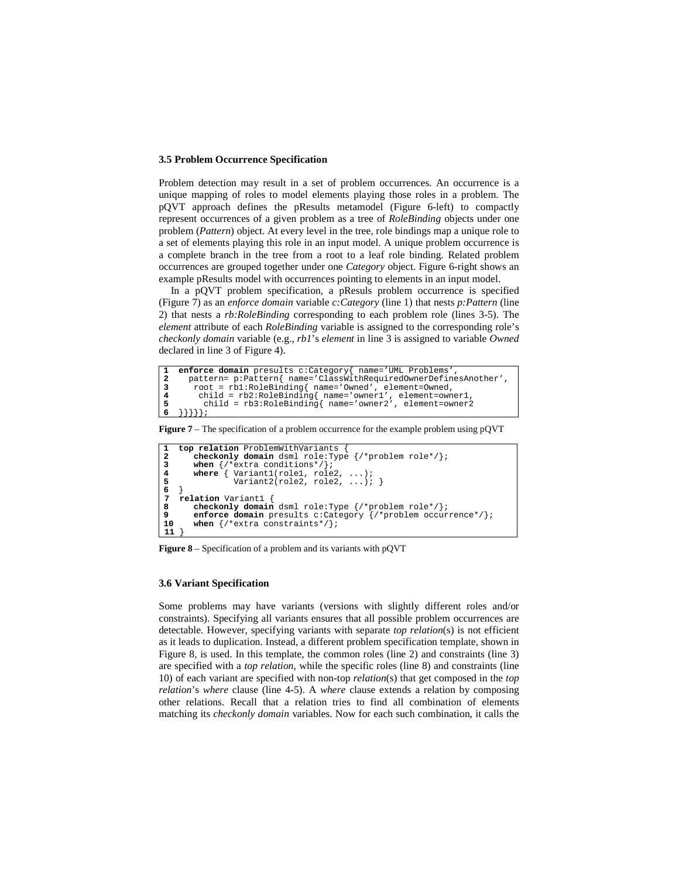#### **3.5 Problem Occurrence Specification**

Problem detection may result in a set of problem occurrences. An occurrence is a unique mapping of roles to model elements playing those roles in a problem. The pQVT approach defines the pResults metamodel (Figure 6-left) to compactly represent occurrences of a given problem as a tree of *RoleBinding* objects under one problem (*Pattern*) object. At every level in the tree, role bindings map a unique role to a set of elements playing this role in an input model. A unique problem occurrence is a complete branch in the tree from a root to a leaf role binding. Related problem occurrences are grouped together under one *Category* object. Figure 6-right shows an example pResults model with occurrences pointing to elements in an input model.

In a pQVT problem specification, a pResuls problem occurrence is specified (Figure 7) as an *enforce domain* variable *c:Category* (line 1) that nests *p:Pattern* (line 2) that nests a *rb:RoleBinding* corresponding to each problem role (lines 3-5). The *element* attribute of each *RoleBinding* variable is assigned to the corresponding role's *checkonly domain* variable (e.g., *rb1*'s *element* in line 3 is assigned to variable *Owned* declared in line 3 of Figure 4).

```
1 enforce domain presults c:Category{ name='UML Problems'<br>2 pattern= p:Pattern{ name='ClassWithRequiredOwnerDefin
2 pattern= p:Pattern{ name='ClassWithRequiredOwnerDefinesAnother',<br>3 root = rb1:RoleBinding{ name='Owned', element=Owned,
3 root = rb1:RoleBinding{ name='Owned', element=Owned, 
4 child = rb2:RoleBinding{ name='owner1', element=owner1, 
5 child = rb3:RoleBinding{ name='owner2', element=owner2 
6 }}}}};
```
**Figure 7** – The specification of a problem occurrence for the example problem using pQVT

```
1 top relation ProblemWithVariants<br>2 checkonly domain dsml role:Typ
2 checkonly domain dsml role:Type \{\prime\text{*problem role}\}\;;<br>3 when \{\prime\text{*extra conditions}\; \prime\}\;;
3 when \{ /*extra conditions*/};<br>4 where { Variant1(role1, role
4 where \begin{cases} \text{Variant1}(role1, role2, ...); \\ \text{Variant2}(role2, role2, ...); \end{cases}Variant2(role2, role2, ...); }
6 } 
7 relation Variant1 { 
8 checkonly domain dsml role:Type {/*problem role*/}; 
9 enforce domain presults c:Category \left\{/*problem occurrence*/\right\};<br>10 when \left\{/*extra constraints*/\right\};
          when \{ /*extra constraints*/};
11 }
```
**Figure 8** – Specification of a problem and its variants with pQVT

#### **3.6 Variant Specification**

Some problems may have variants (versions with slightly different roles and/or constraints). Specifying all variants ensures that all possible problem occurrences are detectable. However, specifying variants with separate *top relation*(s) is not efficient as it leads to duplication. Instead, a different problem specification template, shown in Figure 8, is used. In this template, the common roles (line 2) and constraints (line 3) are specified with a *top relation*, while the specific roles (line 8) and constraints (line 10) of each variant are specified with non-top *relation*(s) that get composed in the *top relation*'s *where* clause (line 4-5). A *where* clause extends a relation by composing other relations. Recall that a relation tries to find all combination of elements matching its *checkonly domain* variables. Now for each such combination, it calls the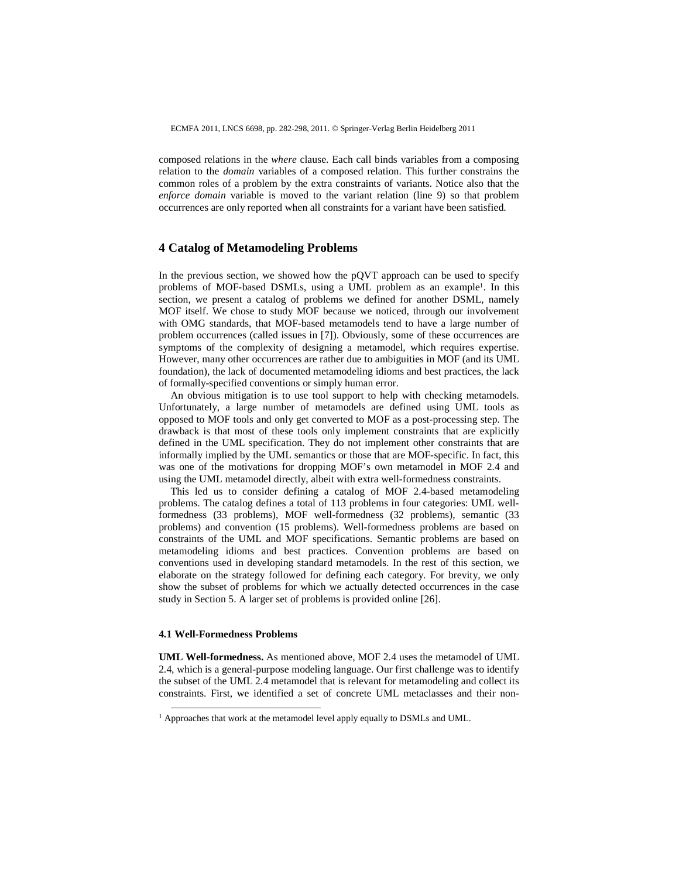composed relations in the *where* clause. Each call binds variables from a composing relation to the *domain* variables of a composed relation. This further constrains the common roles of a problem by the extra constraints of variants. Notice also that the *enforce domain* variable is moved to the variant relation (line 9) so that problem occurrences are only reported when all constraints for a variant have been satisfied.

### **4 Catalog of Metamodeling Problems**

In the previous section, we showed how the pQVT approach can be used to specify problems of MOF-based DSMLs, using a UML problem as an example<sup>1</sup>. In this section, we present a catalog of problems we defined for another DSML, namely MOF itself. We chose to study MOF because we noticed, through our involvement with OMG standards, that MOF-based metamodels tend to have a large number of problem occurrences (called issues in [ 7]). Obviously, some of these occurrences are symptoms of the complexity of designing a metamodel, which requires expertise. However, many other occurrences are rather due to ambiguities in MOF (and its UML foundation), the lack of documented metamodeling idioms and best practices, the lack of formally-specified conventions or simply human error.

An obvious mitigation is to use tool support to help with checking metamodels. Unfortunately, a large number of metamodels are defined using UML tools as opposed to MOF tools and only get converted to MOF as a post-processing step. The drawback is that most of these tools only implement constraints that are explicitly defined in the UML specification. They do not implement other constraints that are informally implied by the UML semantics or those that are MOF-specific. In fact, this was one of the motivations for dropping MOF's own metamodel in MOF 2.4 and using the UML metamodel directly, albeit with extra well-formedness constraints.

This led us to consider defining a catalog of MOF 2.4-based metamodeling problems. The catalog defines a total of 113 problems in four categories: UML wellformedness (33 problems), MOF well-formedness (32 problems), semantic (33 problems) and convention (15 problems). Well-formedness problems are based on constraints of the UML and MOF specifications. Semantic problems are based on metamodeling idioms and best practices. Convention problems are based on conventions used in developing standard metamodels. In the rest of this section, we elaborate on the strategy followed for defining each category. For brevity, we only show the subset of problems for which we actually detected occurrences in the case study in Section 5. A larger set of problems is provided online [26].

#### **4.1 Well-Formedness Problems**

<u>.</u>

**UML Well-formedness.** As mentioned above, MOF 2.4 uses the metamodel of UML 2.4, which is a general-purpose modeling language. Our first challenge was to identify the subset of the UML 2.4 metamodel that is relevant for metamodeling and collect its constraints. First, we identified a set of concrete UML metaclasses and their non-

<sup>&</sup>lt;sup>1</sup> Approaches that work at the metamodel level apply equally to DSMLs and UML.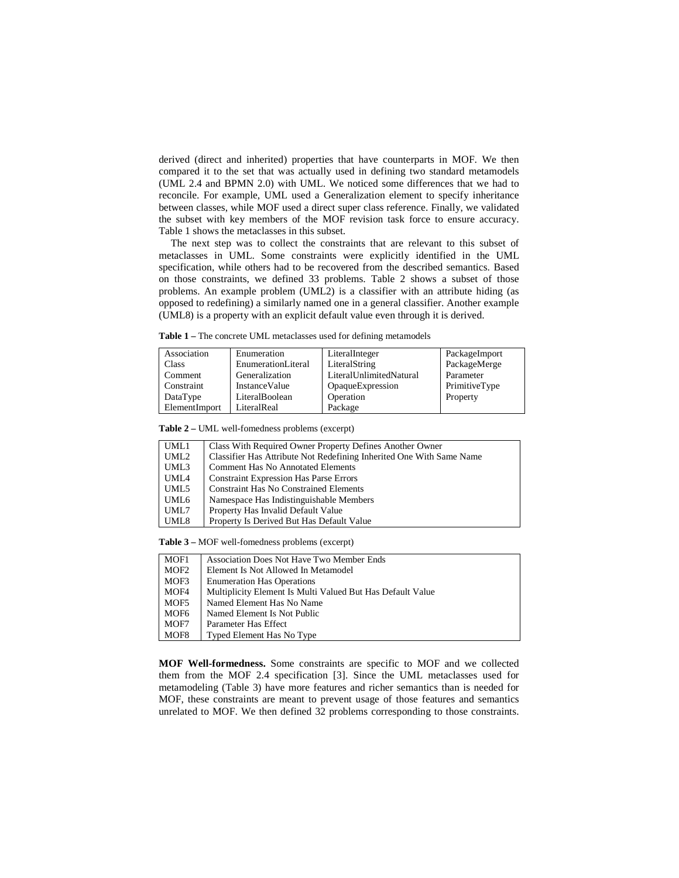derived (direct and inherited) properties that have counterparts in MOF. We then compared it to the set that was actually used in defining two standard metamodels (UML 2.4 and BPMN 2.0) with UML. We noticed some differences that we had to reconcile. For example, UML used a Generalization element to specify inheritance between classes, while MOF used a direct super class reference. Finally, we validated the subset with key members of the MOF revision task force to ensure accuracy. Table 1 shows the metaclasses in this subset.

The next step was to collect the constraints that are relevant to this subset of metaclasses in UML. Some constraints were explicitly identified in the UML specification, while others had to be recovered from the described semantics. Based on those constraints, we defined 33 problems. Table 2 shows a subset of those problems. An example problem (UML2) is a classifier with an attribute hiding (as opposed to redefining) a similarly named one in a general classifier. Another example (UML8) is a property with an explicit default value even through it is derived.

**Table 1 –** The concrete UML metaclasses used for defining metamodels

| Association   | Enumeration        | LiteralInteger          | PackageImport |
|---------------|--------------------|-------------------------|---------------|
| Class         | EnumerationLiteral | LiteralString           | PackageMerge  |
| Comment       | Generalization     | LiteralUnlimitedNatural | Parameter     |
| Constraint    | InstanceValue      | OpaqueExpression        | PrimitiveType |
| DataType      | LiteralBoolean     | Operation               | Property      |
| ElementImport | LiteralReal        | Package                 |               |

**Table 2 –** UML well-fomedness problems (excerpt)

| UML1             | Class With Required Owner Property Defines Another Owner             |
|------------------|----------------------------------------------------------------------|
| UML <sub>2</sub> | Classifier Has Attribute Not Redefining Inherited One With Same Name |
| UML3             | <b>Comment Has No Annotated Elements</b>                             |
| UML4             | <b>Constraint Expression Has Parse Errors</b>                        |
| UML5             | <b>Constraint Has No Constrained Elements</b>                        |
| UML6             | Namespace Has Indistinguishable Members                              |
| UML7             | Property Has Invalid Default Value                                   |
| UML8             | Property Is Derived But Has Default Value                            |
|                  |                                                                      |

**Table 3 –** MOF well-fomedness problems (excerpt)

| MOF1 | Association Does Not Have Two Member Ends                  |
|------|------------------------------------------------------------|
| MOF2 | Element Is Not Allowed In Metamodel                        |
| MOF3 | <b>Enumeration Has Operations</b>                          |
| MOF4 | Multiplicity Element Is Multi Valued But Has Default Value |
| MOF5 | Named Element Has No Name                                  |
| MOF6 | Named Element Is Not Public                                |
| MOF7 | Parameter Has Effect                                       |
| MOF8 | Typed Element Has No Type                                  |

**MOF Well-formedness.** Some constraints are specific to MOF and we collected them from the MOF 2.4 specification [3]. Since the UML metaclasses used for metamodeling (Table 3) have more features and richer semantics than is needed for MOF, these constraints are meant to prevent usage of those features and semantics unrelated to MOF. We then defined 32 problems corresponding to those constraints.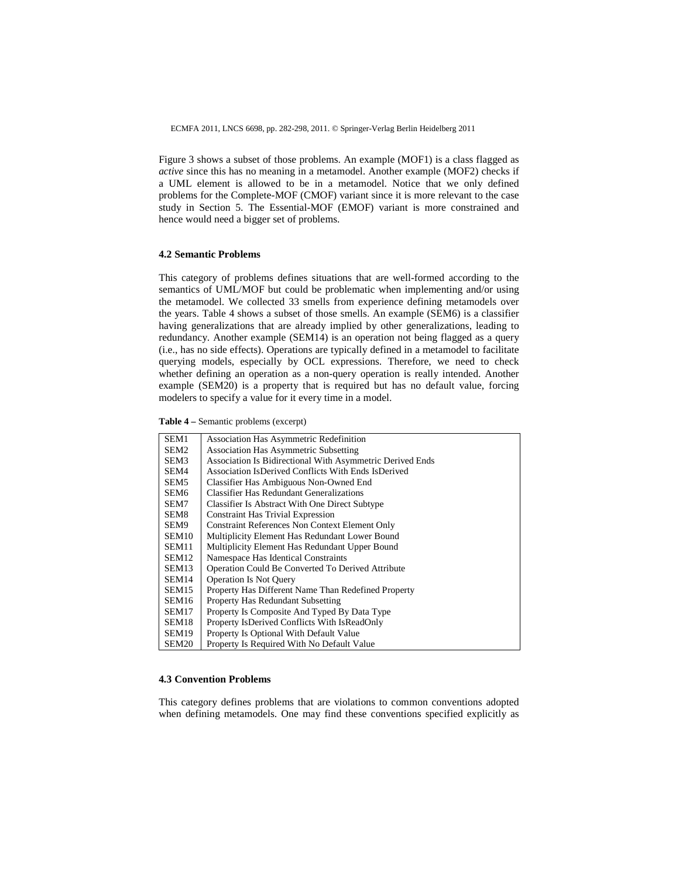Figure 3 shows a subset of those problems. An example (MOF1) is a class flagged as *active* since this has no meaning in a metamodel. Another example (MOF2) checks if a UML element is allowed to be in a metamodel. Notice that we only defined problems for the Complete-MOF (CMOF) variant since it is more relevant to the case study in Section 5. The Essential-MOF (EMOF) variant is more constrained and hence would need a bigger set of problems.

#### **4.2 Semantic Problems**

This category of problems defines situations that are well-formed according to the semantics of UML/MOF but could be problematic when implementing and/or using the metamodel. We collected 33 smells from experience defining metamodels over the years. Table 4 shows a subset of those smells. An example (SEM6) is a classifier having generalizations that are already implied by other generalizations, leading to redundancy. Another example (SEM14) is an operation not being flagged as a query (i.e., has no side effects). Operations are typically defined in a metamodel to facilitate querying models, especially by OCL expressions. Therefore, we need to check whether defining an operation as a non-query operation is really intended. Another example (SEM20) is a property that is required but has no default value, forcing modelers to specify a value for it every time in a model.

**Table 4 –** Semantic problems (excerpt)

| SEM1              | Association Has Asymmetric Redefinition                   |
|-------------------|-----------------------------------------------------------|
| SEM <sub>2</sub>  | <b>Association Has Asymmetric Subsetting</b>              |
| SEM3              | Association Is Bidirectional With Asymmetric Derived Ends |
| SEM4              | Association IsDerived Conflicts With Ends IsDerived       |
| SEM5              | Classifier Has Ambiguous Non-Owned End                    |
| SEM <sub>6</sub>  | Classifier Has Redundant Generalizations                  |
| SEM7              | Classifier Is Abstract With One Direct Subtype            |
| SEM8              | <b>Constraint Has Trivial Expression</b>                  |
| SEM9              | <b>Constraint References Non Context Element Only</b>     |
| SEM <sub>10</sub> | Multiplicity Element Has Redundant Lower Bound            |
| SEM11             | Multiplicity Element Has Redundant Upper Bound            |
| SEM <sub>12</sub> | Namespace Has Identical Constraints                       |
| SEM13             | Operation Could Be Converted To Derived Attribute         |
| SEM14             | <b>Operation Is Not Ouery</b>                             |
| SEM15             | Property Has Different Name Than Redefined Property       |
| SEM16             | <b>Property Has Redundant Subsetting</b>                  |
| SEM17             | Property Is Composite And Typed By Data Type              |
| SEM <sub>18</sub> | Property IsDerived Conflicts With IsReadOnly              |
| SEM <sub>19</sub> | Property Is Optional With Default Value                   |
| SEM <sub>20</sub> | Property Is Required With No Default Value                |

#### **4.3 Convention Problems**

This category defines problems that are violations to common conventions adopted when defining metamodels. One may find these conventions specified explicitly as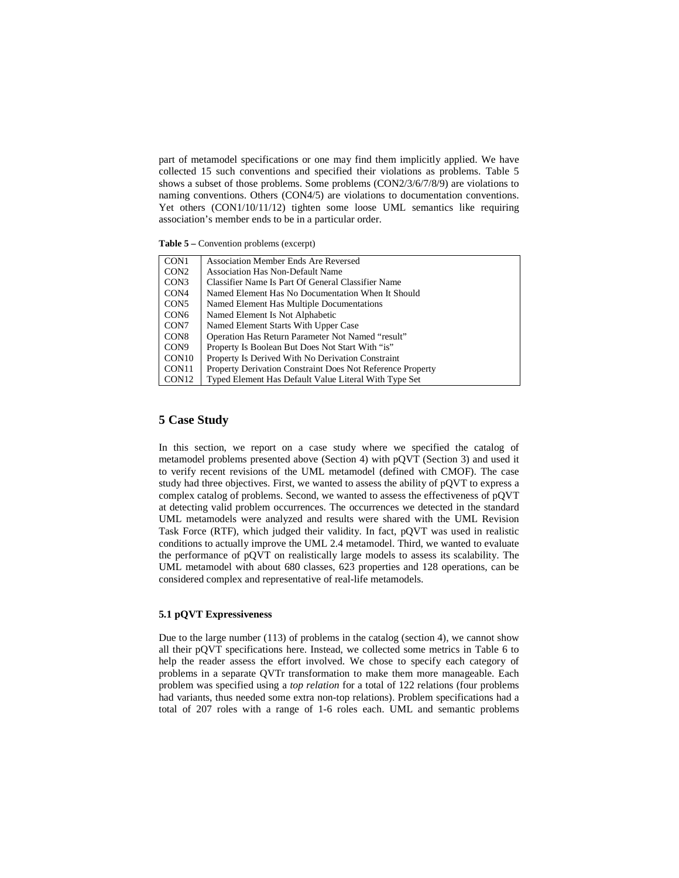part of metamodel specifications or one may find them implicitly applied. We have collected 15 such conventions and specified their violations as problems. Table 5 shows a subset of those problems. Some problems (CON2/3/6/7/8/9) are violations to naming conventions. Others (CON4/5) are violations to documentation conventions. Yet others (CON1/10/11/12) tighten some loose UML semantics like requiring association's member ends to be in a particular order.

**Table 5 –** Convention problems (excerpt)

| CON <sub>1</sub>  | Association Member Ends Are Reversed                       |
|-------------------|------------------------------------------------------------|
| CON <sub>2</sub>  | <b>Association Has Non-Default Name</b>                    |
| CON3              | Classifier Name Is Part Of General Classifier Name         |
| CON <sub>4</sub>  | Named Element Has No Documentation When It Should          |
| CON <sub>5</sub>  | Named Element Has Multiple Documentations                  |
| CON <sub>6</sub>  | Named Element Is Not Alphabetic                            |
| CON <sub>7</sub>  | Named Element Starts With Upper Case                       |
| CON <sub>8</sub>  | Operation Has Return Parameter Not Named "result"          |
| CON <sub>9</sub>  | Property Is Boolean But Does Not Start With "is"           |
| CON <sub>10</sub> | Property Is Derived With No Derivation Constraint          |
| CON <sub>11</sub> | Property Derivation Constraint Does Not Reference Property |
| CON <sub>12</sub> | Typed Element Has Default Value Literal With Type Set      |

# **5 Case Study**

In this section, we report on a case study where we specified the catalog of metamodel problems presented above (Section 4) with pQVT (Section 3) and used it to verify recent revisions of the UML metamodel (defined with CMOF). The case study had three objectives. First, we wanted to assess the ability of pQVT to express a complex catalog of problems. Second, we wanted to assess the effectiveness of pQVT at detecting valid problem occurrences. The occurrences we detected in the standard UML metamodels were analyzed and results were shared with the UML Revision Task Force (RTF), which judged their validity. In fact, pQVT was used in realistic conditions to actually improve the UML 2.4 metamodel. Third, we wanted to evaluate the performance of pQVT on realistically large models to assess its scalability. The UML metamodel with about 680 classes, 623 properties and 128 operations, can be considered complex and representative of real-life metamodels.

## **5.1 pQVT Expressiveness**

Due to the large number  $(113)$  of problems in the catalog (section 4), we cannot show all their pQVT specifications here. Instead, we collected some metrics in Table 6 to help the reader assess the effort involved. We chose to specify each category of problems in a separate QVTr transformation to make them more manageable. Each problem was specified using a *top relation* for a total of 122 relations (four problems had variants, thus needed some extra non-top relations). Problem specifications had a total of 207 roles with a range of 1-6 roles each. UML and semantic problems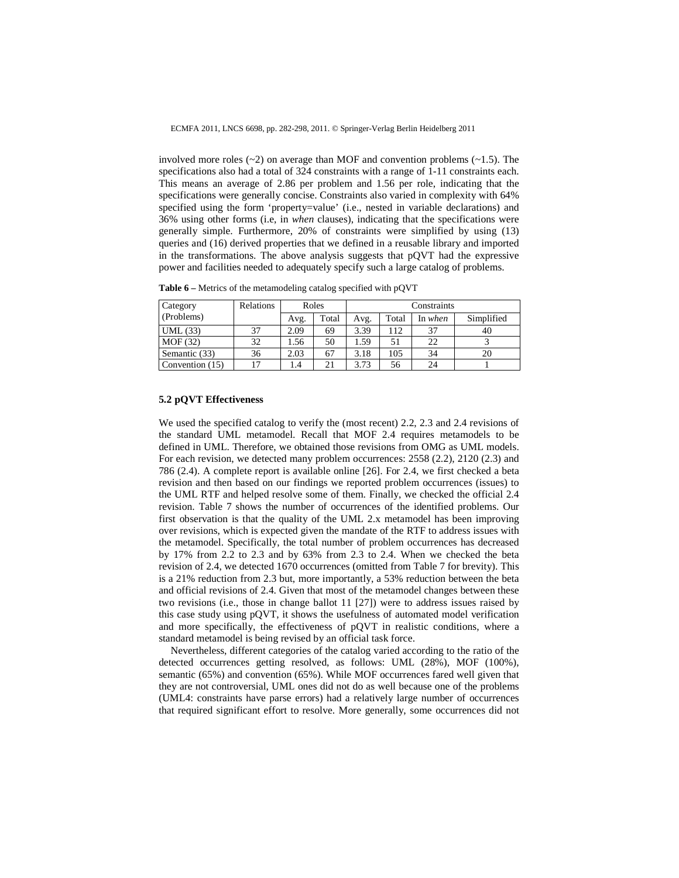involved more roles  $(-2)$  on average than MOF and convention problems  $(-1.5)$ . The specifications also had a total of 324 constraints with a range of 1-11 constraints each. This means an average of 2.86 per problem and 1.56 per role, indicating that the specifications were generally concise. Constraints also varied in complexity with 64% specified using the form 'property=value' (i.e., nested in variable declarations) and 36% using other forms (i.e, in *when* clauses), indicating that the specifications were generally simple. Furthermore, 20% of constraints were simplified by using (13) queries and (16) derived properties that we defined in a reusable library and imported in the transformations. The above analysis suggests that pQVT had the expressive power and facilities needed to adequately specify such a large catalog of problems.

**Table 6 –** Metrics of the metamodeling catalog specified with pQVT

| Category        | Relations |      | Roles | Constraints |       |         |            |  |
|-----------------|-----------|------|-------|-------------|-------|---------|------------|--|
| (Problems)      |           | Avg. | Total | Avg.        | Total | In when | Simplified |  |
| UML(33)         | 37        | 2.09 | 69    | 3.39        | 112   | 37      | 40         |  |
| MOF(32)         | 32        | 1.56 | 50    | 1.59        | 51    | 22      |            |  |
| Semantic (33)   | 36        | 2.03 | 67    | 3.18        | 105   | 34      | 20         |  |
| Convention (15) | 17        | 1.4  | 21    | 3.73        | 56    | 24      |            |  |

## **5.2 pQVT Effectiveness**

We used the specified catalog to verify the (most recent) 2.2, 2.3 and 2.4 revisions of the standard UML metamodel. Recall that MOF 2.4 requires metamodels to be defined in UML. Therefore, we obtained those revisions from OMG as UML models. For each revision, we detected many problem occurrences: 2558 (2.2), 2120 (2.3) and 786 (2.4). A complete report is available online [26]. For 2.4, we first checked a beta revision and then based on our findings we reported problem occurrences (issues) to the UML RTF and helped resolve some of them. Finally, we checked the official 2.4 revision. Table 7 shows the number of occurrences of the identified problems. Our first observation is that the quality of the UML 2.x metamodel has been improving over revisions, which is expected given the mandate of the RTF to address issues with the metamodel. Specifically, the total number of problem occurrences has decreased by 17% from 2.2 to 2.3 and by 63% from 2.3 to 2.4. When we checked the beta revision of 2.4, we detected 1670 occurrences (omitted from Table 7 for brevity). This is a 21% reduction from 2.3 but, more importantly, a 53% reduction between the beta and official revisions of 2.4. Given that most of the metamodel changes between these two revisions (i.e., those in change ballot 11 [ 27]) were to address issues raised by this case study using pQVT, it shows the usefulness of automated model verification and more specifically, the effectiveness of pQVT in realistic conditions, where a standard metamodel is being revised by an official task force.

Nevertheless, different categories of the catalog varied according to the ratio of the detected occurrences getting resolved, as follows: UML (28%), MOF (100%), semantic (65%) and convention (65%). While MOF occurrences fared well given that they are not controversial, UML ones did not do as well because one of the problems (UML4: constraints have parse errors) had a relatively large number of occurrences that required significant effort to resolve. More generally, some occurrences did not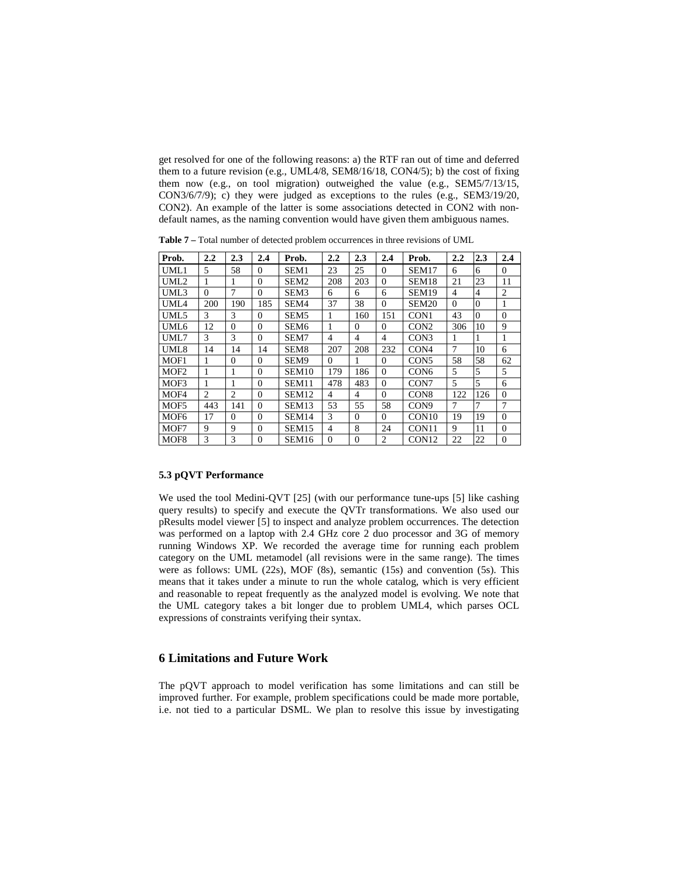get resolved for one of the following reasons: a) the RTF ran out of time and deferred them to a future revision (e.g., UML4/8, SEM8/16/18, CON4/5); b) the cost of fixing them now (e.g., on tool migration) outweighed the value (e.g., SEM5/7/13/15, CON3/6/7/9); c) they were judged as exceptions to the rules (e.g., SEM3/19/20, CON2). An example of the latter is some associations detected in CON2 with nondefault names, as the naming convention would have given them ambiguous names.

| Prob.            | 2.2      | 2.3            | 2.4      | Prob.             | 2.2      | 2.3      | 2.4            | Prob.             | 2.2            | 2.3      | 2.4            |
|------------------|----------|----------------|----------|-------------------|----------|----------|----------------|-------------------|----------------|----------|----------------|
| UML1             | 5        | 58             | $\Omega$ | SEM <sub>1</sub>  | 23       | 25       | $\Omega$       | SEM17             | 6              | 6        | $\Omega$       |
| UML <sub>2</sub> |          | 1              | $\Omega$ | SEM2              | 208      | 203      | $\Omega$       | SEM <sub>18</sub> | 21             | 23       | 11             |
| UML3             | $\Omega$ | 7              | $\Omega$ | SEM <sub>3</sub>  | 6        | 6        | 6              | SEM <sub>19</sub> | $\overline{4}$ | 4        | $\overline{c}$ |
| UML4             | 200      | 190            | 185      | SEM4              | 37       | 38       | $\Omega$       | SEM <sub>20</sub> | $\Omega$       | $\Omega$ | 1              |
| UML5             | 3        | 3              | $\Omega$ | SEM5              | 1        | 160      | 151            | CON1              | 43             | $\Omega$ | $\theta$       |
| UML6             | 12       | $\theta$       | $\Omega$ | SEM6              | 1        | $\Omega$ | $\Omega$       | CON <sub>2</sub>  | 306            | 10       | 9              |
| UML7             | 3        | 3              | $\Omega$ | SEM7              | 4        | 4        | 4              | CON3              | 1              | 1        | 1              |
| UML8             | 14       | 14             | 14       | <b>SEM8</b>       | 207      | 208      | 232            | CON <sub>4</sub>  | 7              | 10       | 6              |
| MOF1             |          | $\Omega$       | $\Omega$ | SEM9              | $\Omega$ |          | $\Omega$       | CON <sub>5</sub>  | 58             | 58       | 62             |
| MOF <sub>2</sub> | 1        | 1              | $\Omega$ | SEM <sub>10</sub> | 179      | 186      | $\Omega$       | CON <sub>6</sub>  | 5              | 5        | 5              |
| MOF3             |          | 1              | $\Omega$ | SEM11             | 478      | 483      | $\Omega$       | CON7              | 5              | 5        | 6              |
| MOF4             | 2        | $\overline{c}$ | $\Omega$ | SEM <sub>12</sub> | 4        | 4        | $\Omega$       | CON <sub>8</sub>  | 122            | 126      | $\Omega$       |
| MOF5             | 443      | 141            | $\Omega$ | SEM13             | 53       | 55       | 58             | CON <sub>9</sub>  | 7              | 7        | 7              |
| MOF <sub>6</sub> | 17       | $\theta$       | $\Omega$ | SEM14             | 3        | $\Omega$ | $\Omega$       | CON <sub>10</sub> | 19             | 19       | $\Omega$       |
| MOF7             | 9        | 9              | $\Omega$ | SEM <sub>15</sub> | 4        | 8        | 24             | CON11             | 9              | 11       | $\theta$       |
| MOF8             | 3        | 3              | $\theta$ | SEM16             | $\Omega$ | $\Omega$ | $\overline{c}$ | CON <sub>12</sub> | 22             | 22       | $\theta$       |

**Table 7 –** Total number of detected problem occurrences in three revisions of UML

## **5.3 pQVT Performance**

We used the tool Medini-QVT  $[25]$  (with our performance tune-ups  $[5]$  like cashing query results) to specify and execute the QVTr transformations. We also used our pResults model viewer [5] to inspect and analyze problem occurrences. The detection was performed on a laptop with 2.4 GHz core 2 duo processor and 3G of memory running Windows XP. We recorded the average time for running each problem category on the UML metamodel (all revisions were in the same range). The times were as follows: UML (22s), MOF (8s), semantic (15s) and convention (5s). This means that it takes under a minute to run the whole catalog, which is very efficient and reasonable to repeat frequently as the analyzed model is evolving. We note that the UML category takes a bit longer due to problem UML4, which parses OCL expressions of constraints verifying their syntax.

# **6 Limitations and Future Work**

The pQVT approach to model verification has some limitations and can still be improved further. For example, problem specifications could be made more portable, i.e. not tied to a particular DSML. We plan to resolve this issue by investigating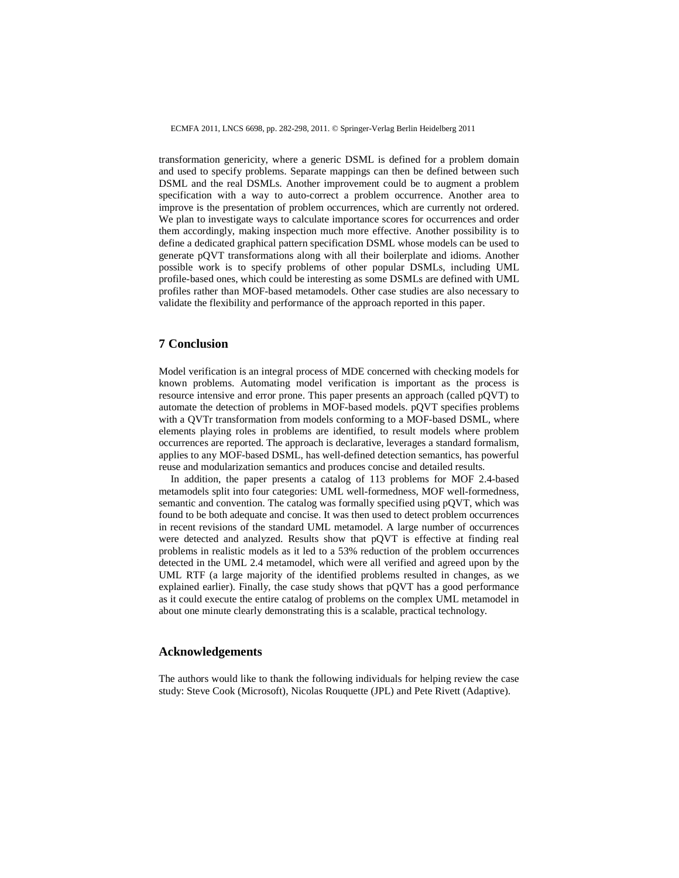transformation genericity, where a generic DSML is defined for a problem domain and used to specify problems. Separate mappings can then be defined between such DSML and the real DSMLs. Another improvement could be to augment a problem specification with a way to auto-correct a problem occurrence. Another area to improve is the presentation of problem occurrences, which are currently not ordered. We plan to investigate ways to calculate importance scores for occurrences and order them accordingly, making inspection much more effective. Another possibility is to define a dedicated graphical pattern specification DSML whose models can be used to generate pQVT transformations along with all their boilerplate and idioms. Another possible work is to specify problems of other popular DSMLs, including UML profile-based ones, which could be interesting as some DSMLs are defined with UML profiles rather than MOF-based metamodels. Other case studies are also necessary to validate the flexibility and performance of the approach reported in this paper.

# **7 Conclusion**

Model verification is an integral process of MDE concerned with checking models for known problems. Automating model verification is important as the process is resource intensive and error prone. This paper presents an approach (called pQVT) to automate the detection of problems in MOF-based models. pQVT specifies problems with a QVTr transformation from models conforming to a MOF-based DSML, where elements playing roles in problems are identified, to result models where problem occurrences are reported. The approach is declarative, leverages a standard formalism, applies to any MOF-based DSML, has well-defined detection semantics, has powerful reuse and modularization semantics and produces concise and detailed results.

In addition, the paper presents a catalog of 113 problems for MOF 2.4-based metamodels split into four categories: UML well-formedness, MOF well-formedness, semantic and convention. The catalog was formally specified using pQVT, which was found to be both adequate and concise. It was then used to detect problem occurrences in recent revisions of the standard UML metamodel. A large number of occurrences were detected and analyzed. Results show that pQVT is effective at finding real problems in realistic models as it led to a 53% reduction of the problem occurrences detected in the UML 2.4 metamodel, which were all verified and agreed upon by the UML RTF (a large majority of the identified problems resulted in changes, as we explained earlier). Finally, the case study shows that pQVT has a good performance as it could execute the entire catalog of problems on the complex UML metamodel in about one minute clearly demonstrating this is a scalable, practical technology.

## **Acknowledgements**

The authors would like to thank the following individuals for helping review the case study: Steve Cook (Microsoft), Nicolas Rouquette (JPL) and Pete Rivett (Adaptive).